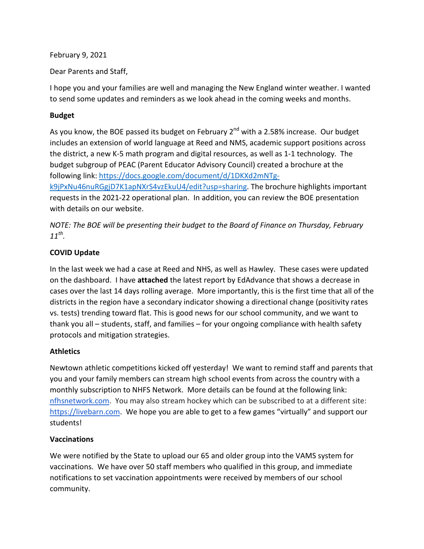February 9, 2021

Dear Parents and Staff,

I hope you and your families are well and managing the New England winter weather. I wanted to send some updates and reminders as we look ahead in the coming weeks and months.

# **Budget**

As you know, the BOE passed its budget on February  $2^{nd}$  with a 2.58% increase. Our budget includes an extension of world language at Reed and NMS, academic support positions across the district, a new K-5 math program and digital resources, as well as 1-1 technology. The budget subgroup of PEAC (Parent Educator Advisory Council) created a brochure at the following link: [https://docs.google.com/document/d/1DKXd2mNTg](https://docs.google.com/document/d/1DKXd2mNTg-k9jPxNu46nuRGgjD7K1apNXrS4vzEkuU4/edit?usp=sharing)[k9jPxNu46nuRGgjD7K1apNXrS4vzEkuU4/edit?usp=sharing.](https://docs.google.com/document/d/1DKXd2mNTg-k9jPxNu46nuRGgjD7K1apNXrS4vzEkuU4/edit?usp=sharing) The brochure highlights important requests in the 2021-22 operational plan. In addition, you can review the BOE presentation with details on our website.

*NOTE: The BOE will be presenting their budget to the Board of Finance on Thursday, February 11th.*

# **COVID Update**

In the last week we had a case at Reed and NHS, as well as Hawley. These cases were updated on the dashboard. I have **attached** the latest report by EdAdvance that shows a decrease in cases over the last 14 days rolling average. More importantly, this is the first time that all of the districts in the region have a secondary indicator showing a directional change (positivity rates vs. tests) trending toward flat. This is good news for our school community, and we want to thank you all – students, staff, and families – for your ongoing compliance with health safety protocols and mitigation strategies.

#### **Athletics**

Newtown athletic competitions kicked off yesterday! We want to remind staff and parents that you and your family members can stream high school events from across the country with a monthly subscription to NHFS Network. More details can be found at the following link: [nfhsnetwork.com.](http://nfhsnetwork.com/) You may also stream hockey which can be subscribed to at a different site: [https://livebarn.com.](https://livebarn.com/) We hope you are able to get to a few games "virtually" and support our students!

#### **Vaccinations**

We were notified by the State to upload our 65 and older group into the VAMS system for vaccinations. We have over 50 staff members who qualified in this group, and immediate notifications to set vaccination appointments were received by members of our school community.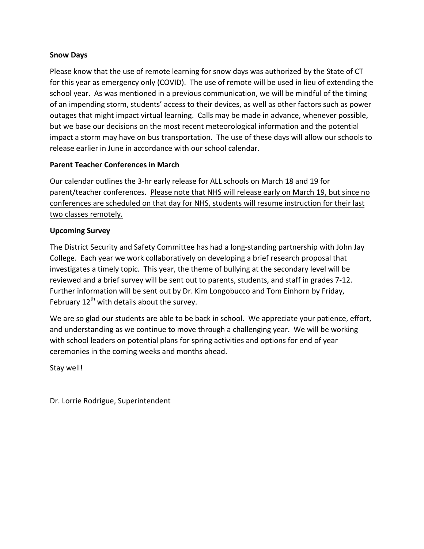#### **Snow Days**

Please know that the use of remote learning for snow days was authorized by the State of CT for this year as emergency only (COVID). The use of remote will be used in lieu of extending the school year. As was mentioned in a previous communication, we will be mindful of the timing of an impending storm, students' access to their devices, as well as other factors such as power outages that might impact virtual learning. Calls may be made in advance, whenever possible, but we base our decisions on the most recent meteorological information and the potential impact a storm may have on bus transportation. The use of these days will allow our schools to release earlier in June in accordance with our school calendar.

# **Parent Teacher Conferences in March**

Our calendar outlines the 3-hr early release for ALL schools on March 18 and 19 for parent/teacher conferences. Please note that NHS will release early on March 19, but since no conferences are scheduled on that day for NHS, students will resume instruction for their last two classes remotely.

# **Upcoming Survey**

The District Security and Safety Committee has had a long-standing partnership with John Jay College. Each year we work collaboratively on developing a brief research proposal that investigates a timely topic. This year, the theme of bullying at the secondary level will be reviewed and a brief survey will be sent out to parents, students, and staff in grades 7-12. Further information will be sent out by Dr. Kim Longobucco and Tom Einhorn by Friday, February  $12^{th}$  with details about the survey.

We are so glad our students are able to be back in school. We appreciate your patience, effort, and understanding as we continue to move through a challenging year. We will be working with school leaders on potential plans for spring activities and options for end of year ceremonies in the coming weeks and months ahead.

Stay well!

Dr. Lorrie Rodrigue, Superintendent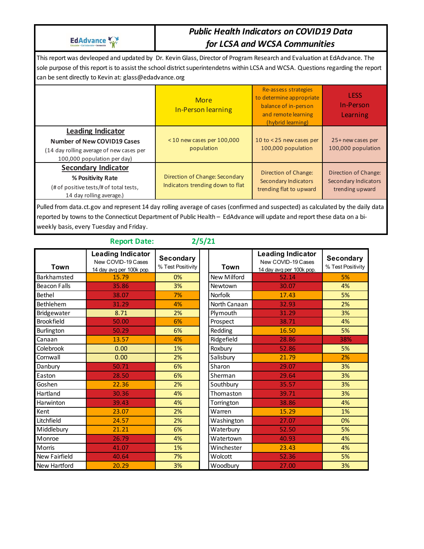EdAdvance

# *Public Health Indicators on COVID19 Data for LCSA and WCSA Communities*

This report was devleoped and updated by Dr. Kevin Glass, Director of Program Research and Evaluation at EdAdvance. The sole purpose of this report is to assist the school district superintendetns within LCSA and WCSA. Questions regarding the report can be sent directly to Kevin at: glass@edadvance.org

|                                                                                                                                           | <b>More</b><br><b>In-Person learning</b>                           | Re-assess strategies<br>to determine appropriate<br>balance of in-person<br>and remote learning<br>(hybrid learning) | <b>LESS</b><br>In-Person<br>Learning                                   |
|-------------------------------------------------------------------------------------------------------------------------------------------|--------------------------------------------------------------------|----------------------------------------------------------------------------------------------------------------------|------------------------------------------------------------------------|
| <b>Leading Indicator</b><br><b>Number of New COVID19 Cases</b><br>(14 day rolling average of new cases per<br>100,000 population per day) | $<$ 10 new cases per 100,000<br>population                         | 10 to < 25 new cases per<br>100,000 population                                                                       | 25+ new cases per<br>100,000 population                                |
| <b>Secondary Indicator</b><br>% Positivity Rate<br>(# of positive tests/# of total tests,<br>14 day rolling average.)                     | Direction of Change: Secondary<br>Indicators trending down to flat | Direction of Change:<br><b>Secondary Indicators</b><br>trending flat to upward                                       | Direction of Change:<br><b>Secondary Indicators</b><br>trending upward |

Pulled from data.ct.gov and represent 14 day rolling average of cases (confirmed and suspected) as calculated by the daily data reported by towns to the Connecticut Department of Public Health – EdAdvance will update and report these data on a biweekly basis, every Tuesday and Friday.

|                     | <b>Report Date:</b>                                                        |                                       | 2/5/21       |                                                                            |                                       |
|---------------------|----------------------------------------------------------------------------|---------------------------------------|--------------|----------------------------------------------------------------------------|---------------------------------------|
| Town                | <b>Leading Indicator</b><br>New COVID-19 Cases<br>14 day avg per 100k pop. | <b>Secondary</b><br>% Test Positivity | Town         | <b>Leading Indicator</b><br>New COVID-19 Cases<br>14 day avg per 100k pop. | <b>Secondary</b><br>% Test Positivity |
| Barkhamsted         | 15.79                                                                      | 0%                                    | New Milford  | 52.14                                                                      | 5%                                    |
| <b>Beacon Falls</b> | 35.86                                                                      | 3%                                    | Newtown      | 30.07                                                                      | 4%                                    |
| Bethel              | 38.07                                                                      | 7%                                    | Norfolk      | 17.43                                                                      | 5%                                    |
| Bethlehem           | 31.29                                                                      | 4%                                    | North Canaan | 32.93                                                                      | 2%                                    |
| Bridgewater         | 8.71                                                                       | 2%                                    | Plymouth     | 31.29                                                                      | 3%                                    |
| Brookfield          | 50.00                                                                      | 6%                                    | Prospect     | 38.71                                                                      | 4%                                    |
| Burlington          | 50.29                                                                      | 6%                                    | Redding      | 16.50                                                                      | 5%                                    |
| Canaan              | 13.57                                                                      | 4%                                    | Ridgefield   | 28.86                                                                      | 38%                                   |
| Colebrook           | 0.00                                                                       | 1%                                    | Roxbury      | 52.86                                                                      | 5%                                    |
| Cornwall            | 0.00                                                                       | 2%                                    | Salisbury    | 21.79                                                                      | 2%                                    |
| Danbury             | 50.71                                                                      | 6%                                    | Sharon       | 29.07                                                                      | 3%                                    |
| Easton              | 28.50                                                                      | 6%                                    | Sherman      | 29.64                                                                      | 3%                                    |
| Goshen              | 22.36                                                                      | 2%                                    | Southbury    | 35.57                                                                      | 3%                                    |
| Hartland            | 30.36                                                                      | 4%                                    | Thomaston    | 39.71                                                                      | 3%                                    |
| Harwinton           | 39.43                                                                      | 4%                                    | Torrington   | 38.86                                                                      | 4%                                    |
| Kent                | 23.07                                                                      | 2%                                    | Warren       | 15.29                                                                      | 1%                                    |
| Litchfield          | 24.57                                                                      | 2%                                    | Washington   | 27.07                                                                      | 0%                                    |
| Middlebury          | 21.21                                                                      | 6%                                    | Waterbury    | 52.50                                                                      | 5%                                    |
| Monroe              | 26.79                                                                      | 4%                                    | Watertown    | 40.93                                                                      | 4%                                    |
| Morris              | 41.07                                                                      | 1%                                    | Winchester   | 23.43                                                                      | 4%                                    |
| New Fairfield       | 40.64                                                                      | 7%                                    | Wolcott      | 52.36                                                                      | 5%                                    |
| New Hartford        | 20.29                                                                      | 3%                                    | Woodbury     | 27.00                                                                      | 3%                                    |